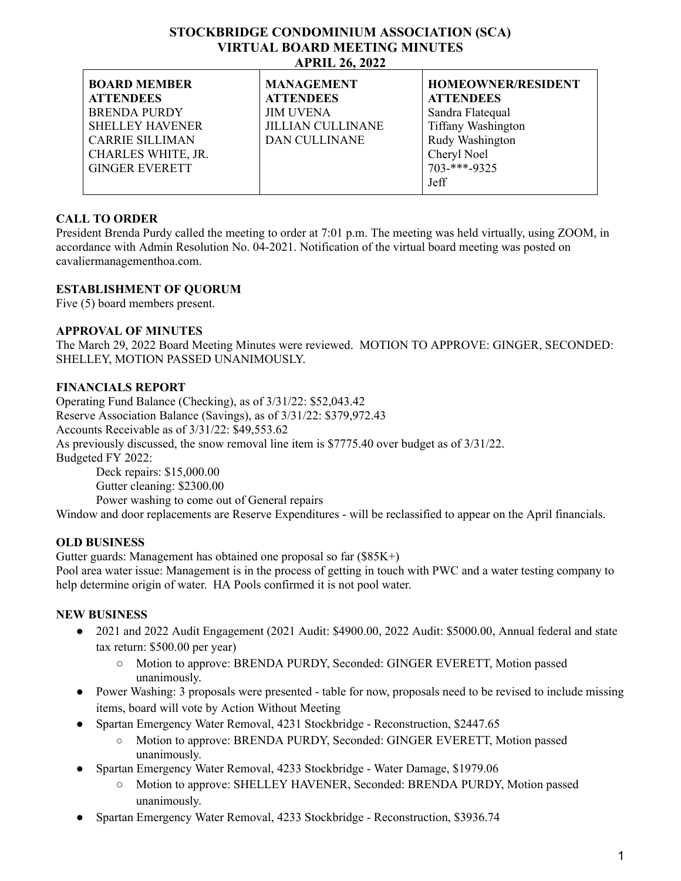#### **STOCKBRIDGE CONDOMINIUM ASSOCIATION (SCA) VIRTUAL BOARD MEETING MINUTES APRIL 26, 2022**

| <b>BOARD MEMBER</b>    | <b>MANAGEMENT</b>        | <b>HOMEOWNER/RESIDENT</b>  |
|------------------------|--------------------------|----------------------------|
| <b>ATTENDEES</b>       | <b>ATTENDEES</b>         | <b>ATTENDEES</b>           |
| <b>BRENDA PURDY</b>    | <b>JIM UVENA</b>         | Sandra Flatequal           |
| <b>SHELLEY HAVENER</b> | <b>JILLIAN CULLINANE</b> | <b>Tiffany Washington</b>  |
| <b>CARRIE SILLIMAN</b> | <b>DAN CULLINANE</b>     | Rudy Washington            |
| CHARLES WHITE, JR.     |                          | Cheryl Noel                |
| <b>GINGER EVERETT</b>  |                          | $703$ <sup>***</sup> -9325 |
|                        |                          | Jeff                       |
|                        |                          |                            |

## **CALL TO ORDER**

President Brenda Purdy called the meeting to order at 7:01 p.m. The meeting was held virtually, using ZOOM, in accordance with Admin Resolution No. 04-2021. Notification of the virtual board meeting was posted on cavaliermanagementhoa.com.

## **ESTABLISHMENT OF QUORUM**

Five (5) board members present.

## **APPROVAL OF MINUTES**

The March 29, 2022 Board Meeting Minutes were reviewed. MOTION TO APPROVE: GINGER, SECONDED: SHELLEY, MOTION PASSED UNANIMOUSLY.

## **FINANCIALS REPORT**

Operating Fund Balance (Checking), as of 3/31/22: \$52,043.42 Reserve Association Balance (Savings), as of 3/31/22: \$379,972.43 Accounts Receivable as of 3/31/22: \$49,553.62 As previously discussed, the snow removal line item is \$7775.40 over budget as of 3/31/22. Budgeted FY 2022: Deck repairs: \$15,000.00 Gutter cleaning: \$2300.00 Power washing to come out of General repairs Window and door replacements are Reserve Expenditures - will be reclassified to appear on the April financials.

## **OLD BUSINESS**

Gutter guards: Management has obtained one proposal so far (\$85K+) Pool area water issue: Management is in the process of getting in touch with PWC and a water testing company to help determine origin of water. HA Pools confirmed it is not pool water.

# **NEW BUSINESS**

- 2021 and 2022 Audit Engagement (2021 Audit: \$4900.00, 2022 Audit: \$5000.00, Annual federal and state tax return: \$500.00 per year)
	- Motion to approve: BRENDA PURDY, Seconded: GINGER EVERETT, Motion passed unanimously.
- Power Washing: 3 proposals were presented table for now, proposals need to be revised to include missing items, board will vote by Action Without Meeting
- Spartan Emergency Water Removal, 4231 Stockbridge Reconstruction, \$2447.65
	- **○** Motion to approve: BRENDA PURDY, Seconded: GINGER EVERETT, Motion passed unanimously.
- Spartan Emergency Water Removal, 4233 Stockbridge Water Damage, \$1979.06
	- **○** Motion to approve: SHELLEY HAVENER, Seconded: BRENDA PURDY, Motion passed unanimously.
- **●** Spartan Emergency Water Removal, 4233 Stockbridge Reconstruction, \$3936.74